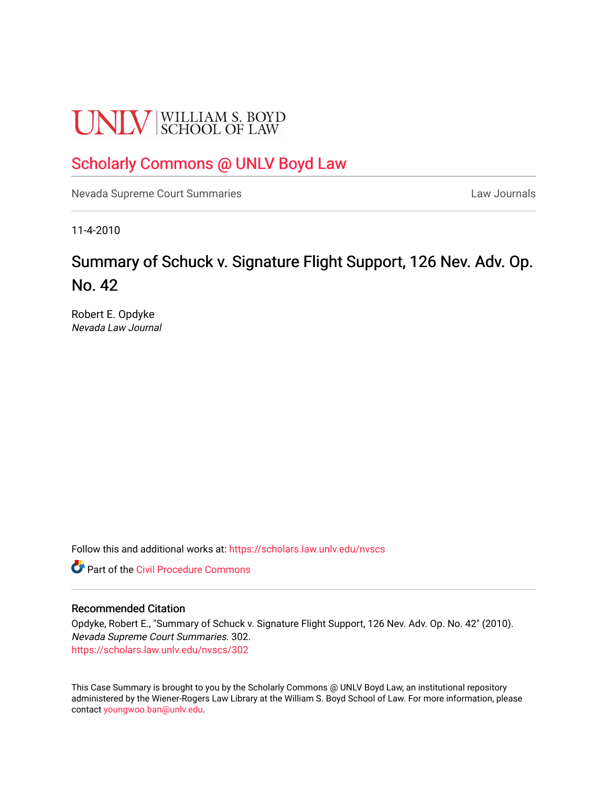# **UNLV** SCHOOL OF LAW

# [Scholarly Commons @ UNLV Boyd Law](https://scholars.law.unlv.edu/)

[Nevada Supreme Court Summaries](https://scholars.law.unlv.edu/nvscs) **Law Journals** Law Journals

11-4-2010

# Summary of Schuck v. Signature Flight Support, 126 Nev. Adv. Op. No. 42

Robert E. Opdyke Nevada Law Journal

Follow this and additional works at: [https://scholars.law.unlv.edu/nvscs](https://scholars.law.unlv.edu/nvscs?utm_source=scholars.law.unlv.edu%2Fnvscs%2F302&utm_medium=PDF&utm_campaign=PDFCoverPages)

**C** Part of the Civil Procedure Commons

#### Recommended Citation

Opdyke, Robert E., "Summary of Schuck v. Signature Flight Support, 126 Nev. Adv. Op. No. 42" (2010). Nevada Supreme Court Summaries. 302. [https://scholars.law.unlv.edu/nvscs/302](https://scholars.law.unlv.edu/nvscs/302?utm_source=scholars.law.unlv.edu%2Fnvscs%2F302&utm_medium=PDF&utm_campaign=PDFCoverPages)

This Case Summary is brought to you by the Scholarly Commons @ UNLV Boyd Law, an institutional repository administered by the Wiener-Rogers Law Library at the William S. Boyd School of Law. For more information, please contact [youngwoo.ban@unlv.edu](mailto:youngwoo.ban@unlv.edu).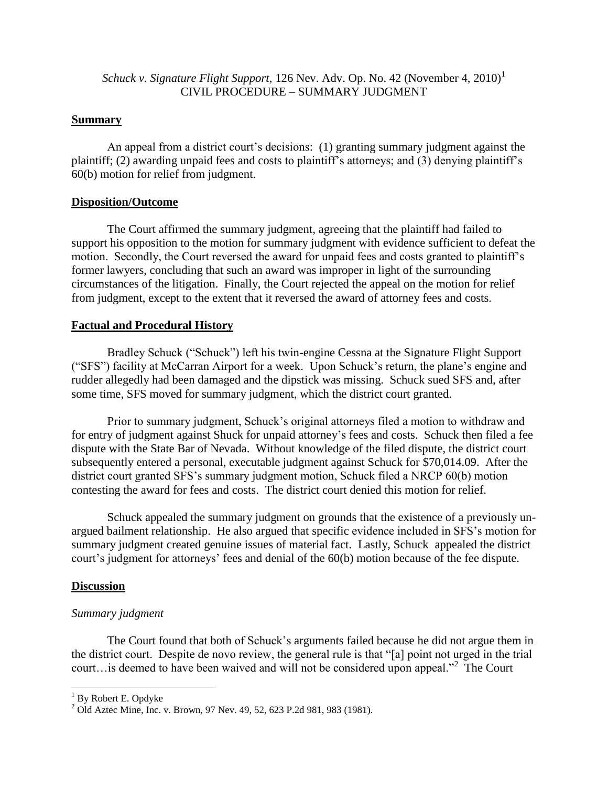## *Schuck v. Signature Flight Support,* 126 Nev. Adv. Op. No. 42 (November 4, 2010)<sup>1</sup> CIVIL PROCEDURE – SUMMARY JUDGMENT

### **Summary**

An appeal from a district court's decisions: (1) granting summary judgment against the plaintiff; (2) awarding unpaid fees and costs to plaintiff's attorneys; and (3) denying plaintiff's 60(b) motion for relief from judgment.

### **Disposition/Outcome**

The Court affirmed the summary judgment, agreeing that the plaintiff had failed to support his opposition to the motion for summary judgment with evidence sufficient to defeat the motion. Secondly, the Court reversed the award for unpaid fees and costs granted to plaintiff's former lawyers, concluding that such an award was improper in light of the surrounding circumstances of the litigation. Finally, the Court rejected the appeal on the motion for relief from judgment, except to the extent that it reversed the award of attorney fees and costs.

## **Factual and Procedural History**

Bradley Schuck ("Schuck") left his twin-engine Cessna at the Signature Flight Support ("SFS") facility at McCarran Airport for a week. Upon Schuck's return, the plane's engine and rudder allegedly had been damaged and the dipstick was missing. Schuck sued SFS and, after some time, SFS moved for summary judgment, which the district court granted.

Prior to summary judgment, Schuck's original attorneys filed a motion to withdraw and for entry of judgment against Shuck for unpaid attorney's fees and costs. Schuck then filed a fee dispute with the State Bar of Nevada. Without knowledge of the filed dispute, the district court subsequently entered a personal, executable judgment against Schuck for \$70,014.09. After the district court granted SFS's summary judgment motion, Schuck filed a NRCP 60(b) motion contesting the award for fees and costs. The district court denied this motion for relief.

Schuck appealed the summary judgment on grounds that the existence of a previously unargued bailment relationship. He also argued that specific evidence included in SFS's motion for summary judgment created genuine issues of material fact. Lastly, Schuck appealed the district court's judgment for attorneys' fees and denial of the 60(b) motion because of the fee dispute.

### **Discussion**

 $\overline{a}$ 

### *Summary judgment*

The Court found that both of Schuck's arguments failed because he did not argue them in the district court. Despite de novo review, the general rule is that "[a] point not urged in the trial court…is deemed to have been waived and will not be considered upon appeal."<sup>2</sup> The Court

<sup>&</sup>lt;sup>1</sup> By Robert E. Opdyke

<sup>&</sup>lt;sup>2</sup> Old Aztec Mine, Inc. v. Brown, 97 Nev. 49, 52, 623 P.2d 981, 983 (1981).